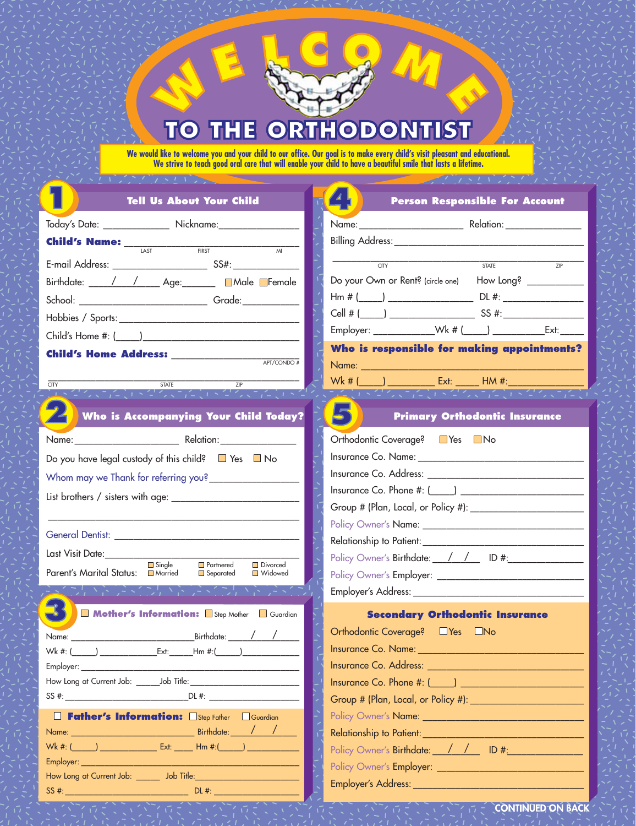## TO THE **DONITIST**  $\bullet$  $\mathbf{O}$  $\mathbf{P}$

**We would like to welcome you and your child to our office. Our goal is to make every child's visit pleasant and educational. We strive to teach good oral care that will enable your child to have a beautiful smile that lasts a lifetime.**

| <b>Tell Us About Your Child</b>                                                                                                                                                                                               | <b>Person Responsible For Account</b>                              |
|-------------------------------------------------------------------------------------------------------------------------------------------------------------------------------------------------------------------------------|--------------------------------------------------------------------|
| Today's Date: ________________ Nickname:__________________                                                                                                                                                                    |                                                                    |
|                                                                                                                                                                                                                               |                                                                    |
| <b>FIRST</b><br>$\overline{M}$                                                                                                                                                                                                | $\overline{CITY}$<br><b>STATE</b><br>$\frac{1}{7}$                 |
| Birthdate: / / Age: Male Female                                                                                                                                                                                               | Do your Own or Rent? (circle one) How Long? _________              |
|                                                                                                                                                                                                                               |                                                                    |
|                                                                                                                                                                                                                               |                                                                    |
|                                                                                                                                                                                                                               | Employer: _______________Wk # (_____) ________________Ext: _______ |
|                                                                                                                                                                                                                               | Who is responsible for making appointments?                        |
| Child's Home Address: ________<br>APT/CONDO#                                                                                                                                                                                  |                                                                    |
| <b>STATE</b><br><b>CITY</b><br>ZIP                                                                                                                                                                                            | $Wk # ( )$ Ext: HM #:                                              |
| ミクタマアにしいクタマコ(こ) トクタマコ(こ) トク                                                                                                                                                                                                   | こくせつい だいきせつい だいきせついた                                               |
| Who is Accompanying Your Child Today?                                                                                                                                                                                         | <b>Primary Orthodontic Insurance</b>                               |
| Name: Relation: Relation:                                                                                                                                                                                                     | Orthodontic Coverage? ■ Yes ■ No                                   |
| Do you have legal custody of this child? $\Box$ Yes $\Box$ No                                                                                                                                                                 |                                                                    |
| Whom may we Thank for referring you?____________                                                                                                                                                                              | Insurance Co. Address: Universe Co. Address:                       |
|                                                                                                                                                                                                                               | Insurance Co. Phone $\#$ : $\Box$                                  |
|                                                                                                                                                                                                                               |                                                                    |
|                                                                                                                                                                                                                               |                                                                    |
|                                                                                                                                                                                                                               |                                                                    |
| Last Visit Date:_____<br>Single<br>Divorced<br>Partnered                                                                                                                                                                      | Policy Owner's Birthdate: / / / ID #:                              |
| Parent's Marital Status: ■ Married<br><b>■</b> Widowed<br>Separated                                                                                                                                                           |                                                                    |
| オンドライフル どうくついき アイ                                                                                                                                                                                                             |                                                                    |
| Mother's Information: Step Mother Guardian                                                                                                                                                                                    | <b>Secondary Orthodontic Insurance</b>                             |
| Name:                                                                                                                                                                                                                         | Orthodontic Coverage? JYes DNo                                     |
| Wk #: (<br>Ext:<br>$\mathsf{Hm}$ #:( )                                                                                                                                                                                        | Insurance Co. Name:                                                |
| Employer: the contract of the contract of the contract of the contract of the contract of the contract of the contract of the contract of the contract of the contract of the contract of the contract of the contract of the |                                                                    |
|                                                                                                                                                                                                                               |                                                                    |
|                                                                                                                                                                                                                               |                                                                    |
| Father's Information: Step Father Guardian                                                                                                                                                                                    |                                                                    |
|                                                                                                                                                                                                                               | $\sqrt{2}$                                                         |
| Wk #: (______) __________________ Ext: ______ Hm #:(______) _________                                                                                                                                                         | Policy Owner's Birthdate: / / / ID #:<br>$\mathcal{A}$             |
|                                                                                                                                                                                                                               |                                                                    |
|                                                                                                                                                                                                                               |                                                                    |
|                                                                                                                                                                                                                               |                                                                    |